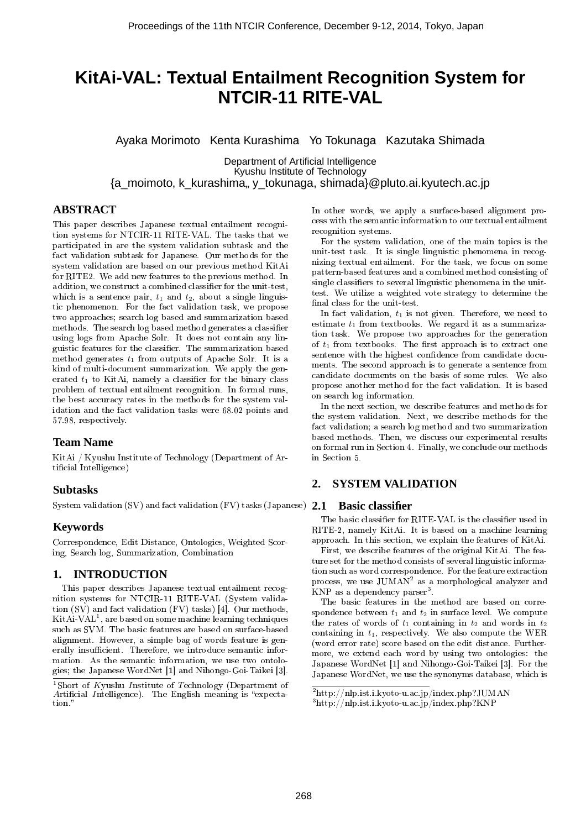# **KitAi-VAL: Textual Entailment Recognition System for NTCIR-11 RITE-VAL**

Ayaka Morimoto Kenta Kurashima Yo Tokunaga Kazutaka Shimada

Department of Artificial Intelligence Kyushu Institute of Technology {a\_moimoto, k\_kurashima" y\_tokunaga, shimada}@pluto.ai.kyutech.ac.jp

# **ABSTRACT**

This paper describes Japanese textual entailment recognition systems for NTCIR-11 RITE-VAL. The tasks that we participated in are the system validation subtask and the fact validation subtask for Japanese. Our methods for the system validation are based on our previous method KitAi for RITE2. We add new features to the previous method. In addition, we construct a combined classifier for the unit-test. which is a sentence pair,  $t_1$  and  $t_2$ , about a single linguistic phenomenon. For the fact validation task, we propose two approaches; search log based and summarization based methods. The search log based method generates a classifier using logs from Apache Solr. It does not contain any linguistic features for the classifier. The summarization based method generates *t*<sup>1</sup> from outputs of Apache Solr. It is a kind of multi-document summarization. We apply the generated  $t_1$  to KitAi, namely a classifier for the binary class problem of textual entailment recognition. In formal runs, the best accuracy rates in the methods for the system validation and the fact validation tasks were 68.02 points and 57.98, respectively.

# **Team Name**

KitAi / Kyushu Institute of Technology (Department of Artificial Intelligence)

# **Subtasks**

System validation (SV) and fact validation (FV) tasks (Japanese) **2.1 Basic classifier**

# **Keywords**

Correspondence, Edit Distance, Ontologies, Weighted Scoring, Search log, Summarization, Combination

# **1. INTRODUCTION**

This paper describes Japanese textual entailment recognition systems for NTCIR-11 RITE-VAL (System validation (SV) and fact validation (FV) tasks) [4]. Our methods,  $\operatorname{Kit} \operatorname{Ai-VAL}^1,$  are based on some machine learning techniques such as SVM. The basic features are based on surface-based alignment. However, a simple bag of words feature is generally insufficient. Therefore, we introduce semantic information. As the semantic information, we use two ontologies; the Japanese WordNet [1] and Nihongo-Goi-Taikei [3]. In other words, we apply a surface-based alignment process with the semantic information to our textual entailment recognition systems.

For the system validation, one of the main topics is the unit-test task. It is single linguistic phenomena in recognizing textual entailment. For the task, we focus on some pattern-based features and a combined method consisting of single classifiers to several linguistic phenomena in the unittest. We utilize a weighted vote strategy to determine the final class for the unit-test.

In fact validation,  $t_1$  is not given. Therefore, we need to estimate *t*<sup>1</sup> from textbooks. We regard it as a summarization task. We propose two approaches for the generation of  $t_1$  from textbooks. The first approach is to extract one sentence with the highest confidence from candidate documents. The second approach is to generate a sentence from candidate documents on the basis of some rules. We also propose another method for the fact validation. It is based on search log information.

In the next section, we describe features and methods for the system validation. Next, we describe methods for the fact validation; a search log method and two summarization based methods. Then, we discuss our experimental results on formal run in Section 4. Finally, we conclude our methods in Section 5.

# **2. SYSTEM VALIDATION**

The basic classifier for RITE-VAL is the classifier used in RITE-2, namely KitAi. It is based on a machine learning approach. In this section, we explain the features of KitAi.

First, we describe features of the original KitAi. The feature set for the method consists of several linguistic information such as word correspondence. For the feature extraction process, we use  $\operatorname{JUMAN}^2$  as a morphological analyzer and  $\rm KNP$  as a dependency parser $^3$ .

The basic features in the method are based on correspondence between  $t_1$  and  $t_2$  in surface level. We compute the rates of words of  $t_1$  containing in  $t_2$  and words in  $t_2$ containing in  $t_1$ , respectively. We also compute the WER (word error rate) score based on the edit distance. Furthermore, we extend each word by using two ontologies: the Japanese WordNet [1] and Nihongo-Goi-Taikei [3]. For the Japanese WordNet, we use the synonyms database, which is

<sup>1</sup>Short of *K*yushu *I*nstitute of *T*echnology (Department of Artificial *Intelligence*). The English meaning is "expectation.

<sup>2</sup>http://nlp.ist.i.kyoto-u.ac.jp/index.php?JUMAN

<sup>3</sup>http://nlp.ist.i.kyoto-u.ac.jp/index.php?KNP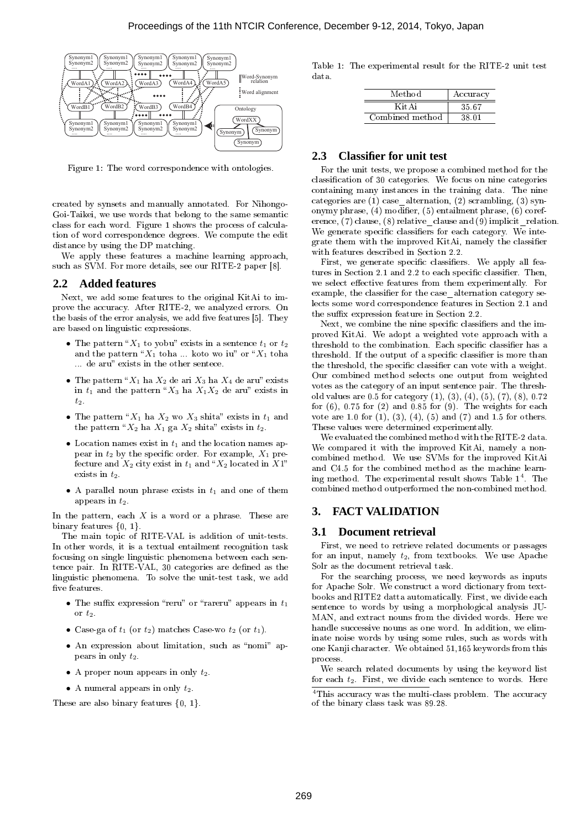

Figure 1: The word correspondence with ontologies.

created by synsets and manually annotated. For Nihongo-Goi-Taikei, we use words that belong to the same semantic class for each word. Figure 1 shows the process of calculation of word correspondence degrees. We compute the edit distance by using the DP matching.

We apply these features a machine learning approach, such as SVM. For more details, see our RITE-2 paper [8].

#### **2.2 Added features**

Next, we add some features to the original KitAi to improve the accuracy. After RITE-2, we analyzed errors. On the basis of the error analysis, we add five features [5]. They are based on linguistic expressions.

- The pattern " $X_1$  to yobu" exists in a sentence  $t_1$  or  $t_2$ and the pattern " $X_1$  toha ... koto wo iu" or " $X_1$  toha ... de aru" exists in the other sentece.
- The pattern " $X_1$  ha  $X_2$  de ari  $X_3$  ha  $X_4$  de aru" exists in  $t_1$  and the pattern " $X_3$  ha  $X_1X_2$  de aru" exists in *t*2.
- The pattern " $X_1$  ha  $X_2$  wo  $X_3$  shita" exists in  $t_1$  and the pattern " $X_2$  ha  $X_1$  ga  $X_2$  shita" exists in  $t_2$ .
- *•* Location names exist in *t*<sup>1</sup> and the location names appear in  $t_2$  by the specific order. For example,  $X_1$  prefecture and  $X_2$  city exist in  $t_1$  and  $X_2$  located in  $X1$ " exists in  $t_2$ .
- *•* A parallel noun phrase exists in *t*<sup>1</sup> and one of them appears in *t*2.

In the pattern, each *X* is a word or a phrase. These are binary features {0, 1}.

The main topic of RITE-VAL is addition of unit-tests. In other words, it is a textual entailment recognition task focusing on single linguistic phenomena between each sentence pair. In RITE-VAL, 30 categories are defined as the linguistic phenomena. To solve the unit-test task, we add  ${\it five}$  features

- The suffix expression "reru" or "rareru" appears in  $t_1$ or  $t_2$ .
- Case-ga of  $t_1$  (or  $t_2$ ) matches Case-wo  $t_2$  (or  $t_1$ ).
- An expression about limitation, such as "nomi" appears in only *t*2.
- *•* A proper noun appears in only *t*2.
- *•* A numeral appears in only *t*2.

These are also binary features  $\{0, 1\}$ .

Table 1: The experimental result for the RITE-2 unit test data.

| Method          | Accuracy |
|-----------------|----------|
| Kit A i         | 35.67    |
| Combined method | 38.01    |

# **2.3 Classifier for unit test**

For the unit tests, we propose a combined method for the classification of 30 categories. We focus on nine categories containing many instances in the training data. The nine categories are  $(1)$  case alternation,  $(2)$  scrambling,  $(3)$  synonymy phrase,  $(4)$  modifier,  $(5)$  entailment phrase,  $(6)$  coreference,  $(7)$  clause,  $(8)$  relative clause and  $(9)$  implicit relation. We generate specific classifiers for each category. We integrate them with the improved KitAi, namely the classifier with features described in Section 2.2.

First, we generate specific classifiers. We apply all features in Section 2.1 and 2.2 to each specific classifier. Then, we select effective features from them experimentally. For example, the classifier for the case alternation category selects some word correspondence features in Section 2.1 and the suffix expression feature in Section 2.2.

Next, we combine the nine specific classifiers and the improved KitAi. We adopt a weighted vote approach with a threshold to the combination. Each specific classifier has a threshold. If the output of a specific classifier is more than the threshold, the specific classifier can vote with a weight. Our combined method selects one output from weighted votes as the category of an input sentence pair. The threshold values are 0.5 for category (1), (3), (4), (5), (7), (8), 0.72 for  $(6)$ , 0.75 for  $(2)$  and 0.85 for  $(9)$ . The weights for each vote are 1.0 for  $(1)$ ,  $(3)$ ,  $(4)$ ,  $(5)$  and  $(7)$  and 1.5 for others. These values were determined experimentally.

We evaluated the combined method with the RITE-2 data. We compared it with the improved KitAi, namely a noncombined method. We use SVMs for the improved KitAi and C4.5 for the combined method as the machine learning method. The experimental result shows Table  $1^4$ . The combined method outperformed the non-combined method.

# **3. FACT VALIDATION**

#### **3.1 Document retrieval**

First, we need to retrieve related documents or passages for an input, namely *t*2, from textbooks. We use Apache Solr as the document retrieval task.

For the searching process, we need keywords as inputs for Apache Solr. We construct a word dictionary from textbooks and RITE2 datta automatically. First, we divide each sentence to words by using a morphological analysis JU-MAN, and extract nouns from the divided words. Here we handle successive nouns as one word. In addition, we eliminate noise words by using some rules, such as words with one Kanji character. We obtained 51,165 keywords from this process.

We search related documents by using the keyword list for each *t*2. First, we divide each sentence to words. Here

<sup>4</sup>This accuracy was the multi-class problem. The accuracy of the binary class task was 89.28.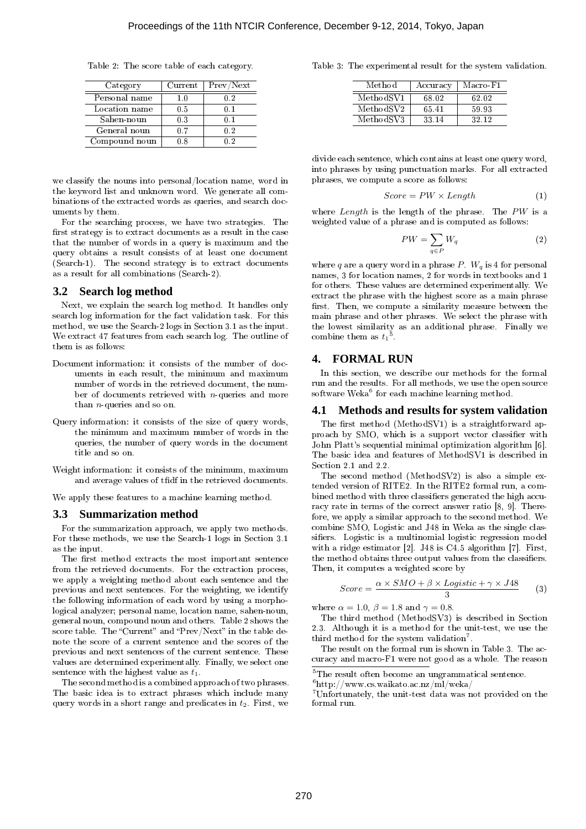Table 2: The score table of each category.

| Category      | Current | Prev/Next |
|---------------|---------|-----------|
| Personal name | 1.0     | 02        |
| Location name | 0.5     | 0-1       |
| Sahen-noun    | 0.3     | 01        |
| General noun  | 07      | 02        |
| Compound noun | በጸ      | በጋ        |

we classify the nouns into personal/location name, word in the keyword list and unknown word. We generate all combinations of the extracted words as queries, and search documents by them.

For the searching process, we have two strategies. The first strategy is to extract documents as a result in the case that the number of words in a query is maximum and the query obtains a result consists of at least one document (Search-1). The second strategy is to extract documents as a result for all combinations (Search-2).

#### **3.2 Search log method**

Next, we explain the search log method. It handles only search log information for the fact validation task. For this method, we use the Search-2 logs in Section 3.1 as the input. We extract 47 features from each search log. The outline of them is as follows:

- Document information: it consists of the number of documents in each result, the minimum and maximum number of words in the retrieved document, the number of documents retrieved with *n*-queries and more than *n*-queries and so on.
- Query information: it consists of the size of query words, the minimum and maximum number of words in the queries, the number of query words in the document title and so on.
- Weight information: it consists of the minimum, maximum and average values of tfidf in the retrieved documents.

We apply these features to a machine learning method.

#### **3.3 Summarization method**

For the summarization approach, we apply two methods. For these methods, we use the Search-1 logs in Section 3.1 as the input.

The first method extracts the most important sentence from the retrieved documents. For the extraction process, we apply a weighting method about each sentence and the previous and next sentences. For the weighting, we identify the following information of each word by using a morphological analyzer; personal name, location name, sahen-noun, general noun, compound noun and others. Table 2 shows the score table. The "Current" and "Prev/Next" in the table denote the score of a current sentence and the scores of the previous and next sentences of the current sentence. These values are determined experimentally. Finally, we select one sentence with the highest value as *t*1.

The second method is a combined approach of two phrases. The basic idea is to extract phrases which include many query words in a short range and predicates in *t*2. First, we Table 3: The experimental result for the system validation.

| Method    | Accuracy | Macro-F1 |
|-----------|----------|----------|
| MethodSV1 | 68.02    | 62.02    |
| MethodSV2 | 65.41    | 59.93    |
| MethodSV3 | 33 14    | 32.12    |

divide each sentence, which contains at least one query word, into phrases by using punctuation marks. For all extracted phrases, we compute a score as follows:

$$
Score = PW \times Length \tag{1}
$$

where *Length* is the length of the phrase. The *PW* is a weighted value of a phrase and is computed as follows:

$$
PW = \sum_{q \in P} W_q \tag{2}
$$

where *q* are a query word in a phrase *P*.  $W_q$  is 4 for personal names, 3 for location names, 2 for words in textbooks and 1 for others. These values are determined experimentally. We extract the phrase with the highest score as a main phrase first. Then, we compute a similarity measure between the main phrase and other phrases. We select the phrase with the lowest similarity as an additional phrase. Finally we combine them as *t*<sup>1</sup> .

#### **4. FORMAL RUN**

In this section, we describe our methods for the formal run and the results. For all methods, we use the open source  $\operatorname{softmax}^6$  for each machine learning method.

#### **4.1 Methods and results for system validation**

The first method (MethodSV1) is a straightforward approach by SMO, which is a support vector classifier with John Platt's sequential minimal optimization algorithm [6]. The basic idea and features of MethodSV1 is described in Section 2.1 and 2.2.

The second method (MethodSV2) is also a simple extended version of RITE2. In the RITE2 formal run, a combined method with three classifiers generated the high accuracy rate in terms of the correct answer ratio [8, 9]. Therefore, we apply a similar approach to the second method. We combine SMO, Logistic and J48 in Weka as the single classifiers. Logistic is a multinomial logistic regression model with a ridge estimator [2]. J48 is C4.5 algorithm [7]. First, the method obtains three output values from the classifiers. Then, it computes a weighted score by

$$
Score = \frac{\alpha \times SMO + \beta \times Logistic + \gamma \times J48}{3} \tag{3}
$$

where  $\alpha = 1.0$ ,  $\beta = 1.8$  and  $\gamma = 0.8$ .

The third method (MethodSV3) is described in Section 2.3. Although it is a method for the unit-test, we use the third method for the system validation<sup>7</sup>.

The result on the formal run is shown in Table 3. The accuracy and macro-F1 were not good as a whole. The reason

 ${\rm ^5The}$  result often become an ungrammatical sentence.

 $^6$ http://www.cs.waikato.ac.nz/ml/weka/

<sup>7</sup>Unfortunately, the unit-test data was not provided on the formal run.